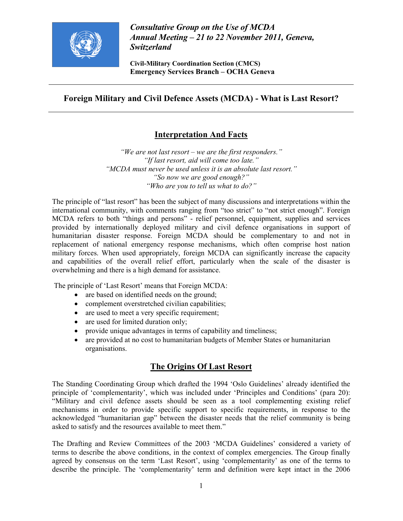

Consultative Group on the Use of MCDA Annual Meeting – 21 to 22 November 2011, Geneva, Switzerland

Civil-Military Coordination Section (CMCS) Emergency Services Branch – OCHA Geneva

## Foreign Military and Civil Defence Assets (MCDA) - What is Last Resort?

# Interpretation And Facts

"We are not last resort – we are the first responders." "If last resort, aid will come too late." "MCDA must never be used unless it is an absolute last resort." "So now we are good enough?" "Who are you to tell us what to do?"

The principle of "last resort" has been the subject of many discussions and interpretations within the international community, with comments ranging from "too strict" to "not strict enough". Foreign MCDA refers to both "things and persons" - relief personnel, equipment, supplies and services provided by internationally deployed military and civil defence organisations in support of humanitarian disaster response. Foreign MCDA should be complementary to and not in replacement of national emergency response mechanisms, which often comprise host nation military forces. When used appropriately, foreign MCDA can significantly increase the capacity and capabilities of the overall relief effort, particularly when the scale of the disaster is overwhelming and there is a high demand for assistance.

The principle of 'Last Resort' means that Foreign MCDA:

- are based on identified needs on the ground;
- complement overstretched civilian capabilities;
- are used to meet a very specific requirement;
- are used for limited duration only;
- provide unique advantages in terms of capability and timeliness;
- are provided at no cost to humanitarian budgets of Member States or humanitarian organisations.

## The Origins Of Last Resort

The Standing Coordinating Group which drafted the 1994 'Oslo Guidelines' already identified the principle of 'complementarity', which was included under 'Principles and Conditions' (para 20): "Military and civil defence assets should be seen as a tool complementing existing relief mechanisms in order to provide specific support to specific requirements, in response to the acknowledged "humanitarian gap" between the disaster needs that the relief community is being asked to satisfy and the resources available to meet them."

The Drafting and Review Committees of the 2003 'MCDA Guidelines' considered a variety of terms to describe the above conditions, in the context of complex emergencies. The Group finally agreed by consensus on the term 'Last Resort', using 'complementarity' as one of the terms to describe the principle. The 'complementarity' term and definition were kept intact in the 2006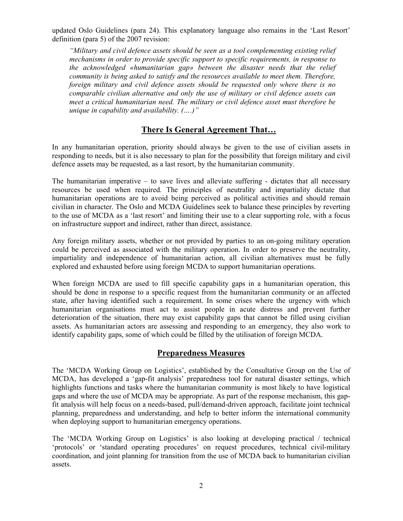updated Oslo Guidelines (para 24). This explanatory language also remains in the 'Last Resort' definition (para 5) of the 2007 revision:

"Military and civil defence assets should be seen as a tool complementing existing relief mechanisms in order to provide specific support to specific requirements, in response to the acknowledged «humanitarian gap» between the disaster needs that the relief community is being asked to satisfy and the resources available to meet them. Therefore, foreign military and civil defence assets should be requested only where there is no comparable civilian alternative and only the use of military or civil defence assets can meet a critical humanitarian need. The military or civil defence asset must therefore be unique in capability and availability. (….)"

# There Is General Agreement That…

In any humanitarian operation, priority should always be given to the use of civilian assets in responding to needs, but it is also necessary to plan for the possibility that foreign military and civil defence assets may be requested, as a last resort, by the humanitarian community.

The humanitarian imperative  $-$  to save lives and alleviate suffering  $-$  dictates that all necessary resources be used when required. The principles of neutrality and impartiality dictate that humanitarian operations are to avoid being perceived as political activities and should remain civilian in character. The Oslo and MCDA Guidelines seek to balance these principles by reverting to the use of MCDA as a 'last resort' and limiting their use to a clear supporting role, with a focus on infrastructure support and indirect, rather than direct, assistance.

Any foreign military assets, whether or not provided by parties to an on-going military operation could be perceived as associated with the military operation. In order to preserve the neutrality, impartiality and independence of humanitarian action, all civilian alternatives must be fully explored and exhausted before using foreign MCDA to support humanitarian operations.

When foreign MCDA are used to fill specific capability gaps in a humanitarian operation, this should be done in response to a specific request from the humanitarian community or an affected state, after having identified such a requirement. In some crises where the urgency with which humanitarian organisations must act to assist people in acute distress and prevent further deterioration of the situation, there may exist capability gaps that cannot be filled using civilian assets. As humanitarian actors are assessing and responding to an emergency, they also work to identify capability gaps, some of which could be filled by the utilisation of foreign MCDA.

## Preparedness Measures

The 'MCDA Working Group on Logistics', established by the Consultative Group on the Use of MCDA, has developed a 'gap-fit analysis' preparedness tool for natural disaster settings, which highlights functions and tasks where the humanitarian community is most likely to have logistical gaps and where the use of MCDA may be appropriate. As part of the response mechanism, this gapfit analysis will help focus on a needs-based, pull/demand-driven approach, facilitate joint technical planning, preparedness and understanding, and help to better inform the international community when deploying support to humanitarian emergency operations.

The 'MCDA Working Group on Logistics' is also looking at developing practical / technical 'protocols' or 'standard operating procedures' on request procedures, technical civil-military coordination, and joint planning for transition from the use of MCDA back to humanitarian civilian assets.